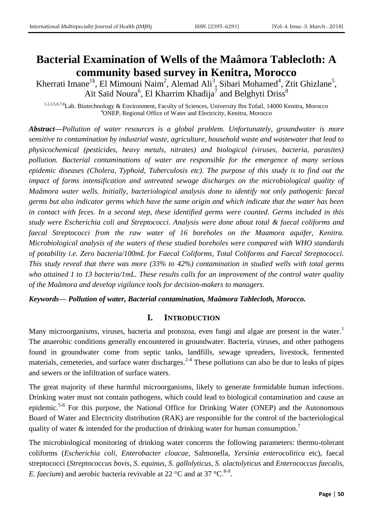# **Bacterial Examination of Wells of the Maâmora Tablecloth: A community based survey in Kenitra, Morocco**

Kherrati Imane<sup>1§</sup>, El Mimouni Naim<sup>2</sup>, Alemad Ali<sup>3</sup>, Sibari Mohamed<sup>4</sup>, Ztit Ghizlane<sup>5</sup>, Aït Saïd Noura<sup>6</sup>, El Kharrim Khadija<sup>7</sup> and Belghyti Driss<sup>8</sup>

1,2,3,5,6,7,8Lab. Biotechnology & Environment, Faculty of Sciences, University Ibn Tofail, 14000 Kenitra, Morocco <sup>4</sup>ONEP, Regional Office of Water and Electricity, Kenitra, Morocco

*Abstract—Pollution of water resources is a global problem. Unfortunately, groundwater is more sensitive to contamination by industrial waste, agriculture, household waste and wastewater that lead to physicochemical (pesticides, heavy metals, nitrates) and biological (viruses, bacteria, parasites) pollution. Bacterial contaminations of water are responsible for the emergence of many serious epidemic diseases (Cholera, Typhoid, Tuberculosis etc). The purpose of this study is to find out the impact of farms intensification and untreated sewage discharges on the microbiological quality of Maâmora water wells. Initially, bacteriological analysis done to identify not only pathogenic faecal germs but also indicator germs which have the same origin and which indicate that the water has been in contact with feces. In a second step, these identified germs were counted. Germs included in this study were Escherichia coli and Streptococci. Analysis were done about total & faecal coliforms and faecal Streptococci from the raw water of 16 boreholes on the Maamora aquifer, Kenitra. Microbiological analysis of the waters of these studied boreholes were compared with WHO standards of potability i.e. Zero bacteria/100mL for Faecal Coliforms, Total Coliforms and Faecal Streptococci. This study reveal that there was more (33% to 42%) contamination in studied wells with total germs who attained 1 to 13 bacteria/1mL. These results calls for an improvement of the control water quality of the Maâmora and develop vigilance tools for decision-makers to managers.*

*Keywords— Pollution of water, Bacterial contamination, Maâmora Tablecloth, Morocco.*

### **I. INTRODUCTION**

Many microorganisms, viruses, bacteria and protozoa, even fungi and algae are present in the water.<sup>1</sup> The anaerobic conditions generally encountered in groundwater. Bacteria, viruses, and other pathogens found in groundwater come from septic tanks, landfills, sewage spreaders, livestock, fermented materials, cemeteries, and surface water discharges.<sup>2-4</sup> These pollutions can also be due to leaks of pipes and sewers or the infiltration of surface waters.

The great majority of these harmful microorganisms, likely to generate formidable human infections. Drinking water must not contain pathogens, which could lead to biological contamination and cause an epidemic.<sup>5-6</sup> For this purpose, the National Office for Drinking Water (ONEP) and the Autonomous Board of Water and Electricity distribution (RAK) are responsible for the control of the bacteriological quality of water  $\&$  intended for the production of drinking water for human consumption.<sup>7</sup>

The microbiological monitoring of drinking water concerns the following parameters: thermo-tolerant coliforms (*Escherichia coli*, *Enterobacter cloacae*, Salmonella, *Yersinia enterocolitica* etc), faecal streptococci (*Streptococcus bovis*, *S. equinus*, *S. gallolyticus, S. alactolyticus* and *Enterococcus faecalis*, *E. faecium*) and aerobic bacteria revivable at 22 °C and at 37 °C.<sup>8-9</sup>.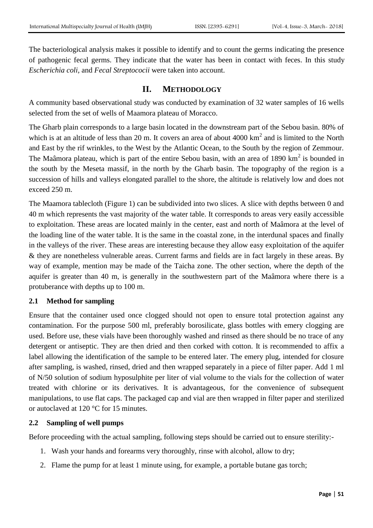The bacteriological analysis makes it possible to identify and to count the germs indicating the presence of pathogenic fecal germs. They indicate that the water has been in contact with feces. In this study *Escherichia coli,* and *Fecal Streptococii* were taken into account.

### **II. METHODOLOGY**

A community based observational study was conducted by examination of 32 water samples of 16 wells selected from the set of wells of Maamora plateau of Moracco.

The Gharb plain corresponds to a large basin located in the downstream part of the Sebou basin. 80% of which is at an altitude of less than 20 m. It covers an area of about  $4000 \text{ km}^2$  and is limited to the North and East by the rif wrinkles, to the West by the Atlantic Ocean, to the South by the region of Zemmour. The Maâmora plateau, which is part of the entire Sebou basin, with an area of 1890  $km^2$  is bounded in the south by the Meseta massif, in the north by the Gharb basin. The topography of the region is a succession of hills and valleys elongated parallel to the shore, the altitude is relatively low and does not exceed 250 m.

The Maamora tablecloth (Figure 1) can be subdivided into two slices. A slice with depths between 0 and 40 m which represents the vast majority of the water table. It corresponds to areas very easily accessible to exploitation. These areas are located mainly in the center, east and north of Maâmora at the level of the loading line of the water table. It is the same in the coastal zone, in the interdunal spaces and finally in the valleys of the river. These areas are interesting because they allow easy exploitation of the aquifer & they are nonetheless vulnerable areas. Current farms and fields are in fact largely in these areas. By way of example, mention may be made of the Taicha zone. The other section, where the depth of the aquifer is greater than 40 m, is generally in the southwestern part of the Maâmora where there is a protuberance with depths up to 100 m.

### **2.1 Method for sampling**

Ensure that the container used once clogged should not open to ensure total protection against any contamination. For the purpose 500 ml, preferably borosilicate, glass bottles with emery clogging are used. Before use, these vials have been thoroughly washed and rinsed as there should be no trace of any detergent or antiseptic. They are then dried and then corked with cotton. It is recommended to affix a label allowing the identification of the sample to be entered later. The emery plug, intended for closure after sampling, is washed, rinsed, dried and then wrapped separately in a piece of filter paper. Add 1 ml of N/50 solution of sodium hyposulphite per liter of vial volume to the vials for the collection of water treated with chlorine or its derivatives. It is advantageous, for the convenience of subsequent manipulations, to use flat caps. The packaged cap and vial are then wrapped in filter paper and sterilized or autoclaved at 120 °C for 15 minutes.

### **2.2 Sampling of well pumps**

Before proceeding with the actual sampling, following steps should be carried out to ensure sterility:-

- 1. Wash your hands and forearms very thoroughly, rinse with alcohol, allow to dry;
- 2. Flame the pump for at least 1 minute using, for example, a portable butane gas torch;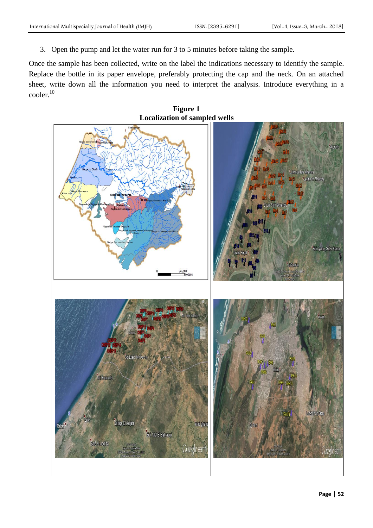3. Open the pump and let the water run for 3 to 5 minutes before taking the sample.

Once the sample has been collected, write on the label the indications necessary to identify the sample. Replace the bottle in its paper envelope, preferably protecting the cap and the neck. On an attached sheet, write down all the information you need to interpret the analysis. Introduce everything in a cooler. 10

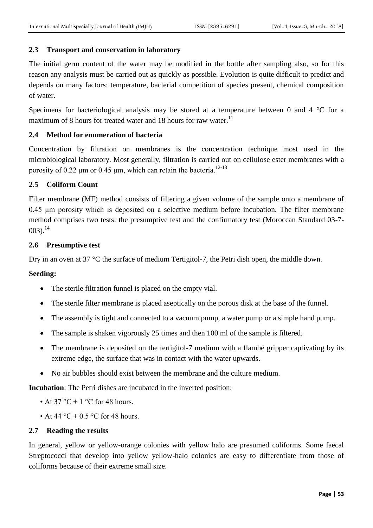## **2.3 Transport and conservation in laboratory**

The initial germ content of the water may be modified in the bottle after sampling also, so for this reason any analysis must be carried out as quickly as possible. Evolution is quite difficult to predict and depends on many factors: temperature, bacterial competition of species present, chemical composition of water.

Specimens for bacteriological analysis may be stored at a temperature between 0 and 4  $\degree$ C for a maximum of 8 hours for treated water and 18 hours for raw water.<sup>11</sup>

### **2.4 Method for enumeration of bacteria**

Concentration by filtration on membranes is the concentration technique most used in the microbiological laboratory. Most generally, filtration is carried out on cellulose ester membranes with a porosity of 0.22  $\mu$ m or 0.45  $\mu$ m, which can retain the bacteria.<sup>12-13</sup>

### **2.5 Coliform Count**

Filter membrane (MF) method consists of filtering a given volume of the sample onto a membrane of 0.45 μm porosity which is deposited on a selective medium before incubation. The filter membrane method comprises two tests: the presumptive test and the confirmatory test (Moroccan Standard 03-7-  $003$ ).<sup>14</sup>

#### **2.6 Presumptive test**

Dry in an oven at 37 °C the surface of medium Tertigitol-7, the Petri dish open, the middle down.

#### **Seeding:**

- The sterile filtration funnel is placed on the empty vial.
- The sterile filter membrane is placed aseptically on the porous disk at the base of the funnel.
- The assembly is tight and connected to a vacuum pump, a water pump or a simple hand pump.
- The sample is shaken vigorously 25 times and then 100 ml of the sample is filtered.
- The membrane is deposited on the tertigitol-7 medium with a flambé gripper captivating by its extreme edge, the surface that was in contact with the water upwards.
- No air bubbles should exist between the membrane and the culture medium.

**Incubation**: The Petri dishes are incubated in the inverted position:

- At 37 °C + 1 °C for 48 hours.
- At 44 °C + 0.5 °C for 48 hours.

#### **2.7 Reading the results**

In general, yellow or yellow-orange colonies with yellow halo are presumed coliforms. Some faecal Streptococci that develop into yellow yellow-halo colonies are easy to differentiate from those of coliforms because of their extreme small size.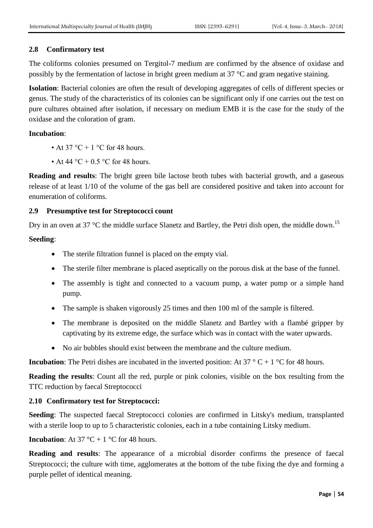## **2.8 Confirmatory test**

The coliforms colonies presumed on Tergitol-7 medium are confirmed by the absence of oxidase and possibly by the fermentation of lactose in bright green medium at 37 °C and gram negative staining.

**Isolation**: Bacterial colonies are often the result of developing aggregates of cells of different species or genus. The study of the characteristics of its colonies can be significant only if one carries out the test on pure cultures obtained after isolation, if necessary on medium EMB it is the case for the study of the oxidase and the coloration of gram.

### **Incubation**:

- At 37 °C + 1 °C for 48 hours.
- At 44 °C + 0.5 °C for 48 hours.

**Reading and results**: The bright green bile lactose broth tubes with bacterial growth, and a gaseous release of at least 1/10 of the volume of the gas bell are considered positive and taken into account for enumeration of coliforms.

## **2.9 Presumptive test for Streptococci count**

Dry in an oven at 37 °C the middle surface Slanetz and Bartley, the Petri dish open, the middle down.<sup>15</sup>

## **Seeding**:

- The sterile filtration funnel is placed on the empty vial.
- The sterile filter membrane is placed aseptically on the porous disk at the base of the funnel.
- The assembly is tight and connected to a vacuum pump, a water pump or a simple hand pump.
- The sample is shaken vigorously 25 times and then 100 ml of the sample is filtered.
- The membrane is deposited on the middle Slanetz and Bartley with a flambé gripper by captivating by its extreme edge, the surface which was in contact with the water upwards.
- No air bubbles should exist between the membrane and the culture medium.

**Incubation**: The Petri dishes are incubated in the inverted position: At 37  $\degree$  C + 1  $\degree$ C for 48 hours.

**Reading the results**: Count all the red, purple or pink colonies, visible on the box resulting from the TTC reduction by faecal Streptococci

# **2.10 Confirmatory test for Streptococci:**

**Seeding**: The suspected faecal Streptococci colonies are confirmed in Litsky's medium, transplanted with a sterile loop to up to 5 characteristic colonies, each in a tube containing Litsky medium.

### **Incubation**: At 37 °C + 1 °C for 48 hours.

**Reading and results**: The appearance of a microbial disorder confirms the presence of faecal Streptococci; the culture with time, agglomerates at the bottom of the tube fixing the dye and forming a purple pellet of identical meaning.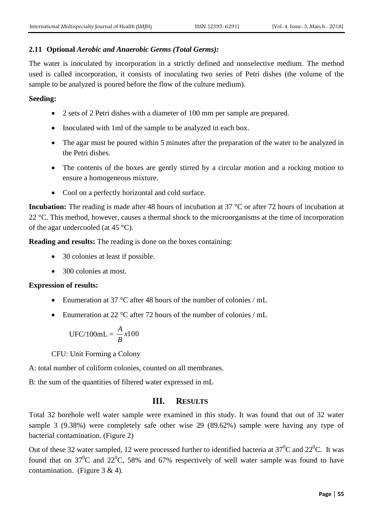#### **2.11 Optional** *Aerobic and Anaerobic Germs (Total Germs):*

The water is inoculated by incorporation in a strictly defined and nonselective medium. The method used is called incorporation, it consists of inoculating two series of Petri dishes (the volume of the sample to be analyzed is poured before the flow of the culture medium).

#### **Seeding:**

- 2 sets of 2 Petri dishes with a diameter of 100 mm per sample are prepared.
- Inoculated with 1ml of the sample to be analyzed in each box.
- The agar must be poured within 5 minutes after the preparation of the water to be analyzed in the Petri dishes.
- The contents of the boxes are gently stirred by a circular motion and a rocking motion to ensure a homogeneous mixture.
- Cool on a perfectly horizontal and cold surface.

**Incubation:** The reading is made after 48 hours of incubation at 37 °C or after 72 hours of incubation at 22 °C. This method, however, causes a thermal shock to the microorganisms at the time of incorporation of the agar undercooled (at  $45^{\circ}$ C).

**Reading and results:** The reading is done on the boxes containing:

- 30 colonies at least if possible.
- 300 colonies at most.

#### **Expression of results:**

- Enumeration at 37 °C after 48 hours of the number of colonies / mL
- Enumeration at 22  $\degree$ C after 72 hours of the number of colonies / mL

UFC/100mL = 
$$
\frac{A}{B}
$$
 x100

CFU: Unit Forming a Colony

A: total number of coliform colonies, counted on all membranes.

B: the sum of the quantities of filtered water expressed in mL

### **III. RESULTS**

Total 32 borehole well water sample were examined in this study. It was found that out of 32 water sample 3 (9.38%) were completely safe other wise 29 (89.62%) sample were having any type of bacterial contamination. (Figure 2)

Out of these 32 water sampled, 12 were processed further to identified bacteria at  $37^0C$  and  $22^0C$ . It was found that on  $37^0C$  and  $22^0C$ , 58% and 67% respectively of well water sample was found to have contamination. (Figure  $3 \& 4$ ).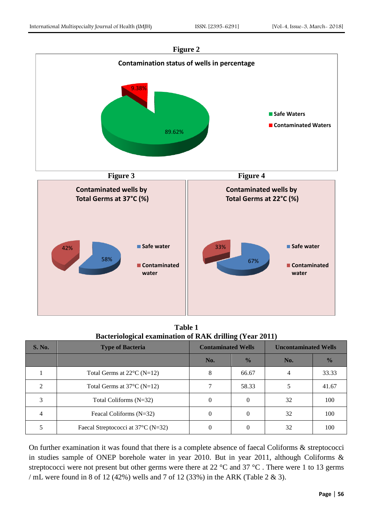

**Table 1 Bacteriological examination of RAK drilling (Year 2011)**

| <b>S. No.</b> | <b>Type of Bacteria</b>              | <b>Contaminated Wells</b> |               | <b>Uncontaminated Wells</b> |               |
|---------------|--------------------------------------|---------------------------|---------------|-----------------------------|---------------|
|               |                                      | No.                       | $\frac{0}{0}$ | No.                         | $\frac{1}{2}$ |
|               | Total Germs at $22^{\circ}$ C (N=12) | 8                         | 66.67         |                             | 33.33         |
|               | Total Germs at $37^{\circ}$ C (N=12) |                           | 58.33         |                             | 41.67         |
| 3             | Total Coliforms $(N=32)$             | $\Omega$                  | 0             | 32                          | 100           |
| 4             | Feacal Coliforms (N=32)              | $\Omega$                  | $\Omega$      | 32                          | 100           |
|               | Faecal Streptococci at 37°C (N=32)   | $\Omega$                  |               | 32                          | 100           |

On further examination it was found that there is a complete absence of faecal Coliforms & streptococci in studies sample of ONEP borehole water in year 2010. But in year 2011, although Coliforms & streptococci were not present but other germs were there at 22 °C and 37 °C. There were 1 to 13 germs / mL were found in 8 of 12 (42%) wells and 7 of 12 (33%) in the ARK (Table 2 & 3).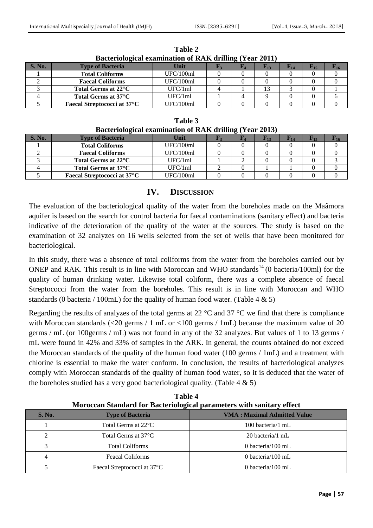| Dacteriorogical cadimination of IVIII urbinig (Teat 2011) |                                     |           |  |  |      |  |  |  |
|-----------------------------------------------------------|-------------------------------------|-----------|--|--|------|--|--|--|
| <b>S. No.</b>                                             | <b>Type of Bacteria</b>             | Unit      |  |  | F 13 |  |  |  |
|                                                           | <b>Total Coliforms</b>              | UFC/100ml |  |  |      |  |  |  |
|                                                           | <b>Faecal Coliforms</b>             | UFC/100ml |  |  |      |  |  |  |
|                                                           | Total Germs at 22 <sup>o</sup> C    | UFC/1ml   |  |  |      |  |  |  |
|                                                           | Total Germs at 37°C                 | UFC/1ml   |  |  |      |  |  |  |
|                                                           | <b>Faecal Streptococci at 37 °C</b> | UFC/100ml |  |  |      |  |  |  |
|                                                           |                                     |           |  |  |      |  |  |  |

**Table 2 Bacteriological examination of RAK drilling (Year 2011)**

| Table 3                                                        |  |
|----------------------------------------------------------------|--|
| <b>Bacteriological examination of RAK drilling (Year 2013)</b> |  |

|        | -                                   |           | $\sim$ |  |  |
|--------|-------------------------------------|-----------|--------|--|--|
| S. No. | <b>Type of Bacteria</b>             | Unit      |        |  |  |
|        | <b>Total Coliforms</b>              | UFC/100ml |        |  |  |
|        | <b>Faecal Coliforms</b>             | UFC/100ml |        |  |  |
|        | Total Germs at 22°C                 | UFC/1ml   |        |  |  |
|        | Total Germs at 37°C                 | UFC/1ml   |        |  |  |
|        | <b>Faecal Streptococci at 37 °C</b> | UFC/100ml |        |  |  |

#### **IV. DISCUSSION**

The evaluation of the bacteriological quality of the water from the boreholes made on the Maâmora aquifer is based on the search for control bacteria for faecal contaminations (sanitary effect) and bacteria indicative of the deterioration of the quality of the water at the sources. The study is based on the examination of 32 analyzes on 16 wells selected from the set of wells that have been monitored for bacteriological.

In this study, there was a absence of total coliforms from the water from the boreholes carried out by ONEP and RAK. This result is in line with Moroccan and WHO standards<sup>14</sup> (0 bacteria/100ml) for the quality of human drinking water. Likewise total coliform, there was a complete absence of faecal Streptococci from the water from the boreholes. This result is in line with Moroccan and WHO standards (0 bacteria / 100mL) for the quality of human food water. (Table 4  $\&$  5)

Regarding the results of analyzes of the total germs at 22  $^{\circ}$ C and 37  $^{\circ}$ C we find that there is compliance with Moroccan standards (<20 germs / 1 mL or <100 germs / 1mL) because the maximum value of 20 germs / mL (or 100germs / mL) was not found in any of the 32 analyzes. But values of 1 to 13 germs / mL were found in 42% and 33% of samples in the ARK. In general, the counts obtained do not exceed the Moroccan standards of the quality of the human food water (100 germs / 1mL) and a treatment with chlorine is essential to make the water conform. In conclusion, the results of bacteriological analyzes comply with Moroccan standards of the quality of human food water, so it is deduced that the water of the boreholes studied has a very good bacteriological quality. (Table  $4 \& 5$ )

| S. No.         | <b>Type of Bacteria</b>                  | <b>VMA: Maximal Admitted Value</b> |
|----------------|------------------------------------------|------------------------------------|
|                | Total Germs at $22^{\circ}$ C            | 100 bacteria/1 mL                  |
| $\mathcal{D}$  | Total Germs at $37^{\circ}$ C            | 20 bacteria/1 mL                   |
| $\mathbf{z}$   | <b>Total Coliforms</b>                   | 0 bacteria/100 mL                  |
| $\overline{4}$ | <b>Feacal Coliforms</b>                  | 0 bacteria/100 mL                  |
|                | Faecal Streptococci at 37 <sup>o</sup> C | 0 bacteria/100 mL                  |

**Table 4 Moroccan Standard for Bacteriological parameters with sanitary effect**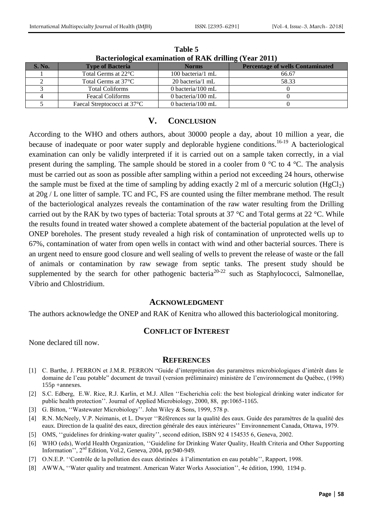| Dacterfological examination of RAR urbining (Teat 2011) |                                          |                      |                                         |  |  |
|---------------------------------------------------------|------------------------------------------|----------------------|-----------------------------------------|--|--|
| <b>S. No.</b>                                           | <b>Type of Bacteria</b>                  | <b>Norms</b>         | <b>Percentage of wells Contaminated</b> |  |  |
|                                                         | Total Germs at 22 <sup>°</sup> C         | 100 bacteria/1 mL    | 66.67                                   |  |  |
|                                                         | Total Germs at $37^{\circ}$ C            | 20 bacteria/1 mL     | 58.33                                   |  |  |
|                                                         | <b>Total Coliforms</b>                   | 0 bacteria/100 mL    |                                         |  |  |
|                                                         | <b>Feacal Coliforms</b>                  | 0 bacteria/ $100$ mL |                                         |  |  |
|                                                         | Faecal Streptococci at 37 <sup>°</sup> C | 0 bacteria/100 mL    |                                         |  |  |

**Table 5 Bacteriological examination of RAK drilling (Year 2011)**

#### **V. CONCLUSION**

According to the WHO and others authors, about 30000 people a day, about 10 million a year, die because of inadequate or poor water supply and deplorable hygiene conditions.<sup>16-19</sup> A bacteriological examination can only be validly interpreted if it is carried out on a sample taken correctly, in a vial present during the sampling. The sample should be stored in a cooler from 0 °C to 4 °C. The analysis must be carried out as soon as possible after sampling within a period not exceeding 24 hours, otherwise the sample must be fixed at the time of sampling by adding exactly 2 ml of a mercuric solution (HgCl<sub>2</sub>) at 20g / L one litter of sample. TC and FC, FS are counted using the filter membrane method. The result of the bacteriological analyzes reveals the contamination of the raw water resulting from the Drilling carried out by the RAK by two types of bacteria: Total sprouts at 37 °C and Total germs at 22 °C. While the results found in treated water showed a complete abatement of the bacterial population at the level of ONEP boreholes. The present study revealed a high risk of contamination of unprotected wells up to 67%, contamination of water from open wells in contact with wind and other bacterial sources. There is an urgent need to ensure good closure and well sealing of wells to prevent the release of waste or the fall of animals or contamination by raw sewage from septic tanks. The present study should be supplemented by the search for other pathogenic bacteria<sup>20-22</sup> such as Staphylococci, Salmonellae, Vibrio and Chlostridium.

#### **ACKNOWLEDGMENT**

The authors acknowledge the ONEP and RAK of Kenitra who allowed this bacteriological monitoring.

#### **CONFLICT OF INTEREST**

None declared till now.

#### **REFERENCES**

- [1] C. Barthe, J. PERRON et J.M.R. PERRON "Guide d"interprétation des paramètres microbiologiques d"intérêt dans le domaine de l"eau potable" document de travail (version préliminaire) ministère de l"environnement du Québec, (1998) 155p +annexes.
- [2] S.C. Edberg, E.W. Rice, R.J. Karlin, et M.J. Allen ""Escherichia coli: the best biological drinking water indicator for public health protection". Journal of Applied Microbiology, 2000, 88, pp:1065-1165.
- [3] G. Bitton, "Wastewater Microbiology". John Wiley & Sons, 1999, 578 p.
- [4] R.N. McNeely, V.P. Neimanis, et L. Dwyer ""Références sur la qualité des eaux. Guide des paramètres de la qualité des eaux. Direction de la qualité des eaux, direction générale des eaux intérieures"" Environnement Canada, Ottawa, 1979.
- [5] OMS, "guidelines for drinking-water quality", second edition, ISBN 92 4 154535 6, Geneva, 2002.
- [6] WHO (eds), World Health Organization, ""Guideline for Drinking Water Quality, Health Criteria and Other Supporting Information",  $2<sup>nd</sup>$  Edition, Vol.2, Geneva, 2004, pp:940-949.
- [7] O.N.E.P. ""Contrôle de la pollution des eaux déstinées à l"alimentation en eau potable"", Rapport, 1998.
- [8] AWWA, ""Water quality and treatment. American Water Works Association"", 4e édition, 1990, 1194 p.